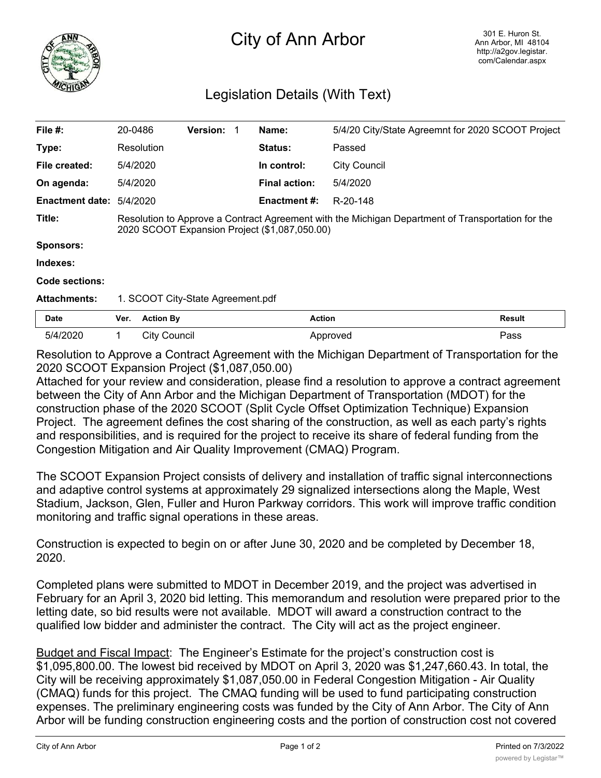

## City of Ann Arbor

## Legislation Details (With Text)

| File #:                         | 20-0486                                                                                                                                            |                      | <b>Version:</b> |  | Name:                | 5/4/20 City/State Agreemnt for 2020 SCOOT Project |               |
|---------------------------------|----------------------------------------------------------------------------------------------------------------------------------------------------|----------------------|-----------------|--|----------------------|---------------------------------------------------|---------------|
| Type:                           | Resolution                                                                                                                                         |                      |                 |  | <b>Status:</b>       | Passed                                            |               |
| File created:                   | 5/4/2020                                                                                                                                           |                      |                 |  | In control:          | <b>City Council</b>                               |               |
| On agenda:                      | 5/4/2020                                                                                                                                           |                      |                 |  | <b>Final action:</b> | 5/4/2020                                          |               |
| <b>Enactment date: 5/4/2020</b> |                                                                                                                                                    |                      |                 |  | Enactment #:         | R-20-148                                          |               |
| Title:                          | Resolution to Approve a Contract Agreement with the Michigan Department of Transportation for the<br>2020 SCOOT Expansion Project (\$1,087,050.00) |                      |                 |  |                      |                                                   |               |
| <b>Sponsors:</b>                |                                                                                                                                                    |                      |                 |  |                      |                                                   |               |
| Indexes:                        |                                                                                                                                                    |                      |                 |  |                      |                                                   |               |
| Code sections:                  |                                                                                                                                                    |                      |                 |  |                      |                                                   |               |
| <b>Attachments:</b>             | 1. SCOOT City-State Agreement.pdf                                                                                                                  |                      |                 |  |                      |                                                   |               |
| <b>Date</b>                     | Ver.                                                                                                                                               | <b>Action By</b>     |                 |  | <b>Action</b>        |                                                   | <b>Result</b> |
| 5/4/2020                        | 1                                                                                                                                                  | <b>City Council</b>  |                 |  |                      | Approved                                          | Pass          |
|                                 |                                                                                                                                                    | $\sim$ $\sim$ $\sim$ |                 |  |                      | .                                                 |               |

Resolution to Approve a Contract Agreement with the Michigan Department of Transportation for the 2020 SCOOT Expansion Project (\$1,087,050.00)

Attached for your review and consideration, please find a resolution to approve a contract agreement between the City of Ann Arbor and the Michigan Department of Transportation (MDOT) for the construction phase of the 2020 SCOOT (Split Cycle Offset Optimization Technique) Expansion Project. The agreement defines the cost sharing of the construction, as well as each party's rights and responsibilities, and is required for the project to receive its share of federal funding from the Congestion Mitigation and Air Quality Improvement (CMAQ) Program.

The SCOOT Expansion Project consists of delivery and installation of traffic signal interconnections and adaptive control systems at approximately 29 signalized intersections along the Maple, West Stadium, Jackson, Glen, Fuller and Huron Parkway corridors. This work will improve traffic condition monitoring and traffic signal operations in these areas.

Construction is expected to begin on or after June 30, 2020 and be completed by December 18, 2020.

Completed plans were submitted to MDOT in December 2019, and the project was advertised in February for an April 3, 2020 bid letting. This memorandum and resolution were prepared prior to the letting date, so bid results were not available. MDOT will award a construction contract to the qualified low bidder and administer the contract. The City will act as the project engineer.

Budget and Fiscal Impact: The Engineer's Estimate for the project's construction cost is \$1,095,800.00. The lowest bid received by MDOT on April 3, 2020 was \$1,247,660.43. In total, the City will be receiving approximately \$1,087,050.00 in Federal Congestion Mitigation - Air Quality (CMAQ) funds for this project. The CMAQ funding will be used to fund participating construction expenses. The preliminary engineering costs was funded by the City of Ann Arbor. The City of Ann Arbor will be funding construction engineering costs and the portion of construction cost not covered